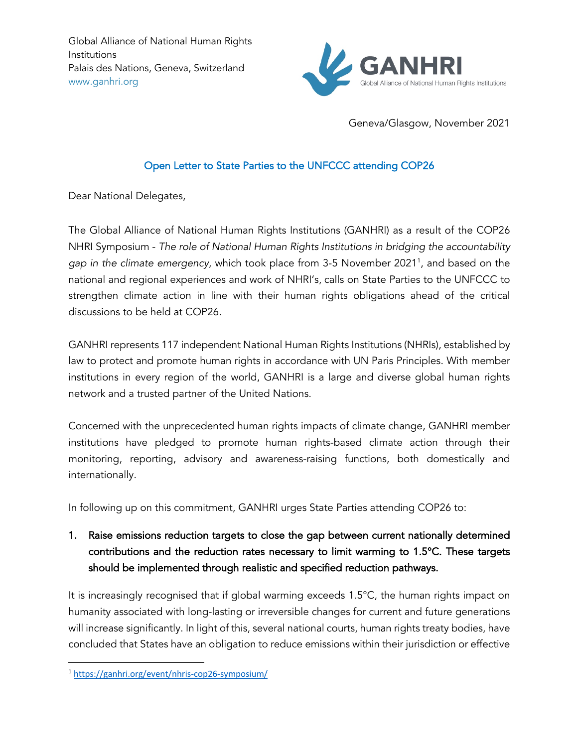

Geneva/Glasgow, November 2021

### Open Letter to State Parties to the UNFCCC attending COP26

Dear National Delegates,

The Global Alliance of National Human Rights Institutions (GANHRI) as a result of the COP26 NHRI Symposium - *The role of National Human Rights Institutions in bridging the accountability*  gap in the climate emergency, which took place from 3-5 November 2021<sup>1</sup>, and based on the national and regional experiences and work of NHRI's, calls on State Parties to the UNFCCC to strengthen climate action in line with their human rights obligations ahead of the critical discussions to be held at COP26.

GANHRI represents 117 independent National Human Rights Institutions (NHRIs), established by law to protect and promote human rights in accordance with UN Paris Principles. With member institutions in every region of the world, GANHRI is a large and diverse global human rights network and a trusted partner of the United Nations.

Concerned with the unprecedented human rights impacts of climate change, GANHRI member institutions have pledged to promote human rights-based climate action through their monitoring, reporting, advisory and awareness-raising functions, both domestically and internationally.

In following up on this commitment, GANHRI urges State Parties attending COP26 to:

# 1. Raise emissions reduction targets to close the gap between current nationally determined contributions and the reduction rates necessary to limit warming to 1.5°C. These targets should be implemented through realistic and specified reduction pathways.

It is increasingly recognised that if global warming exceeds 1.5°C, the human rights impact on humanity associated with long-lasting or irreversible changes for current and future generations will increase significantly. In light of this, several national courts, human rights treaty bodies, have concluded that States have an obligation to reduce emissions within their jurisdiction or effective

<sup>1</sup> https://ganhri.org/event/nhris-cop26-symposium/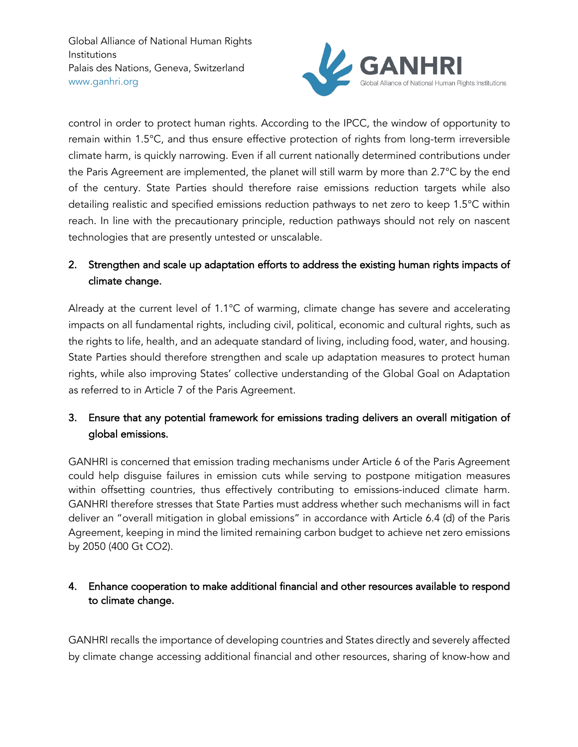

control in order to protect human rights. According to the IPCC, the window of opportunity to remain within 1.5°C, and thus ensure effective protection of rights from long-term irreversible climate harm, is quickly narrowing. Even if all current nationally determined contributions under the Paris Agreement are implemented, the planet will still warm by more than 2.7°C by the end of the century. State Parties should therefore raise emissions reduction targets while also detailing realistic and specified emissions reduction pathways to net zero to keep 1.5°C within reach. In line with the precautionary principle, reduction pathways should not rely on nascent technologies that are presently untested or unscalable.

# 2. Strengthen and scale up adaptation efforts to address the existing human rights impacts of climate change.

Already at the current level of 1.1°C of warming, climate change has severe and accelerating impacts on all fundamental rights, including civil, political, economic and cultural rights, such as the rights to life, health, and an adequate standard of living, including food, water, and housing. State Parties should therefore strengthen and scale up adaptation measures to protect human rights, while also improving States' collective understanding of the Global Goal on Adaptation as referred to in Article 7 of the Paris Agreement.

## 3. Ensure that any potential framework for emissions trading delivers an overall mitigation of global emissions.

GANHRI is concerned that emission trading mechanisms under Article 6 of the Paris Agreement could help disguise failures in emission cuts while serving to postpone mitigation measures within offsetting countries, thus effectively contributing to emissions-induced climate harm. GANHRI therefore stresses that State Parties must address whether such mechanisms will in fact deliver an "overall mitigation in global emissions" in accordance with Article 6.4 (d) of the Paris Agreement, keeping in mind the limited remaining carbon budget to achieve net zero emissions by 2050 (400 Gt CO2).

## 4. Enhance cooperation to make additional financial and other resources available to respond to climate change.

GANHRI recalls the importance of developing countries and States directly and severely affected by climate change accessing additional financial and other resources, sharing of know-how and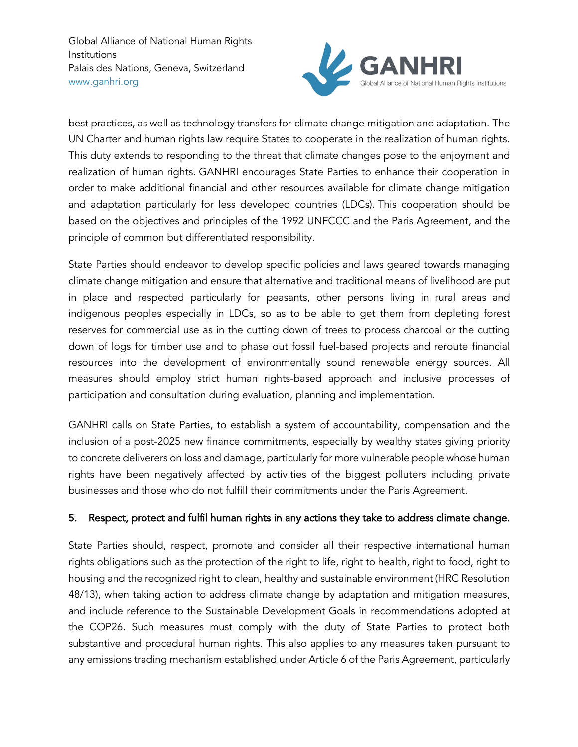

best practices, as well as technology transfers for climate change mitigation and adaptation. The UN Charter and human rights law require States to cooperate in the realization of human rights. This duty extends to responding to the threat that climate changes pose to the enjoyment and realization of human rights. GANHRI encourages State Parties to enhance their cooperation in order to make additional financial and other resources available for climate change mitigation and adaptation particularly for less developed countries (LDCs). This cooperation should be based on the objectives and principles of the 1992 UNFCCC and the Paris Agreement, and the principle of common but differentiated responsibility.

State Parties should endeavor to develop specific policies and laws geared towards managing climate change mitigation and ensure that alternative and traditional means of livelihood are put in place and respected particularly for peasants, other persons living in rural areas and indigenous peoples especially in LDCs, so as to be able to get them from depleting forest reserves for commercial use as in the cutting down of trees to process charcoal or the cutting down of logs for timber use and to phase out fossil fuel-based projects and reroute financial resources into the development of environmentally sound renewable energy sources. All measures should employ strict human rights-based approach and inclusive processes of participation and consultation during evaluation, planning and implementation.

GANHRI calls on State Parties, to establish a system of accountability, compensation and the inclusion of a post-2025 new finance commitments, especially by wealthy states giving priority to concrete deliverers on loss and damage, particularly for more vulnerable people whose human rights have been negatively affected by activities of the biggest polluters including private businesses and those who do not fulfill their commitments under the Paris Agreement.

### 5. Respect, protect and fulfil human rights in any actions they take to address climate change.

State Parties should, respect, promote and consider all their respective international human rights obligations such as the protection of the right to life, right to health, right to food, right to housing and the recognized right to clean, healthy and sustainable environment (HRC Resolution 48/13), when taking action to address climate change by adaptation and mitigation measures, and include reference to the Sustainable Development Goals in recommendations adopted at the COP26. Such measures must comply with the duty of State Parties to protect both substantive and procedural human rights. This also applies to any measures taken pursuant to any emissions trading mechanism established under Article 6 of the Paris Agreement, particularly